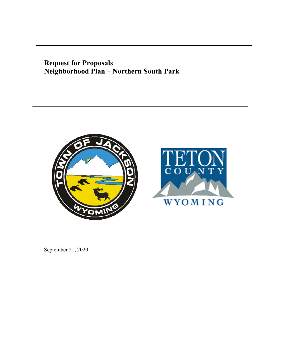# **Request for Proposals Neighborhood Plan – Northern South Park**





September 21, 2020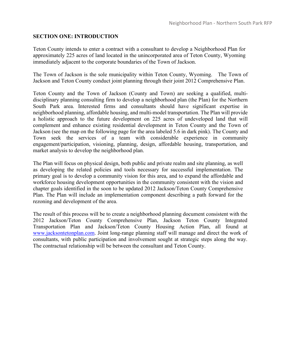# **SECTION ONE: INTRODUCTION**

Teton County intends to enter a contract with a consultant to develop a Neighborhood Plan for approximately 225 acres of land located in the unincorporated area of Teton County, Wyoming immediately adjacent to the corporate boundaries of the Town of Jackson.

The Town of Jackson is the sole municipality within Teton County, Wyoming. The Town of Jackson and Teton County conduct joint planning through their joint 2012 Comprehensive Plan.

Teton County and the Town of Jackson (County and Town) are seeking a qualified, multi‐ disciplinary planning consulting firm to develop a neighborhood plan (the Plan) for the Northern South Park area. Interested firms and consultants should have significant expertise in neighborhood planning, affordable housing, and multi-model transportation. The Plan will provide a holistic approach to the future development on 225 acres of undeveloped land that will complement and enhance existing residential development in Teton County and the Town of Jackson (see the map on the following page for the area labeled 5.6 in dark pink). The County and Town seek the services of a team with considerable experience in community engagement/participation, visioning, planning, design, affordable housing, transportation, and market analysis to develop the neighborhood plan.

The Plan will focus on physical design, both public and private realm and site planning, as well as developing the related policies and tools necessary for successful implementation. The primary goal is to develop a community vision for this area, and to expand the affordable and workforce housing development opportunities in the community consistent with the vision and chapter goals identified in the soon to be updated 2012 Jackson/Teton County Comprehensive Plan. The Plan will include an implementation component describing a path forward for the rezoning and development of the area.

The result of this process will be to create a neighborhood planning document consistent with the 2012 Jackson/Teton County Comprehensive Plan, Jackson Teton County Integrated Transportation Plan and Jackson/Teton County Housing Action Plan, all found at [www.jacksontetonplan.com.](http://www.jacksontetonplan.com/) Joint long-range planning staff will manage and direct the work of consultants, with public participation and involvement sought at strategic steps along the way. The contractual relationship will be between the consultant and Teton County.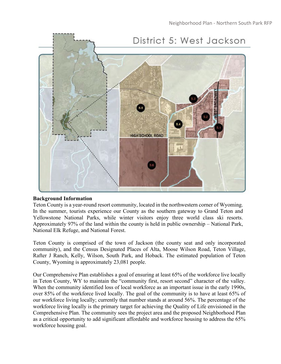

# **Background Information**

Teton County is a year-round resort community, located in the northwestern corner of Wyoming. In the summer, tourists experience our County as the southern gateway to Grand Teton and Yellowstone National Parks, while winter visitors enjoy three world class ski resorts. Approximately 97% of the land within the county is held in public ownership – National Park, National Elk Refuge, and National Forest.

Teton County is comprised of the town of Jackson (the county seat and only incorporated community), and the Census Designated Places of Alta, Moose Wilson Road, Teton Village, Rafter J Ranch, Kelly, Wilson, South Park, and Hoback. The estimated population of Teton County, Wyoming is approximately 23,081 people.

Our Comprehensive Plan establishes a goal of ensuring at least 65% of the workforce live locally in Teton County, WY to maintain the "community first, resort second" character of the valley. When the community identified loss of local workforce as an important issue in the early 1990s, over 85% of the workforce lived locally. The goal of the community is to have at least 65% of our workforce living locally; currently that number stands at around 56%. The percentage of the workforce living locally is the primary target for achieving the Quality of Life envisioned in the Comprehensive Plan. The community sees the project area and the proposed Neighborhood Plan as a critical opportunity to add significant affordable and workforce housing to address the 65% workforce housing goal.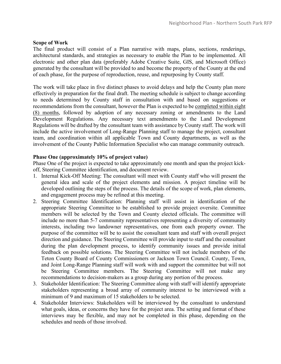#### **Scope of Work**

The final product will consist of a Plan narrative with maps, plans, sections, renderings, architectural standards, and strategies as necessary to enable the Plan to be implemented. All electronic and other plan data (preferably Adobe Creative Suite, GIS, and Microsoft Office) generated by the consultant will be provided to and become the property of the County at the end of each phase, for the purpose of reproduction, reuse, and repurposing by County staff.

The work will take place in five distinct phases to avoid delays and help the County plan more effectively in preparation for the final draft. The meeting schedule is subject to change according to needs determined by County staff in consultation with and based on suggestions or recommendations from the consultant, however the Plan is expected to be completed within eight (8) months, followed by adoption of any necessary zoning or amendments to the Land Development Regulations. Any necessary text amendments to the Land Development Regulations will be drafted by the consultant team with assistance by County staff. The work will include the active involvement of Long‐Range Planning staff to manage the project, consultant team, and coordination within all applicable Town and County departments, as well as the involvement of the County Public Information Specialist who can manage community outreach.

### **Phase One (approximately 10% of project value)**

Phase One of the project is expected to take approximately one month and span the project kickoff, Steering Committee identification, and document review.

- 1. Internal Kick-Off Meeting: The consultant will meet with County staff who will present the general idea and scale of the project elements and mission. A project timeline will be developed outlining the steps of the process. The details of the scope of work, plan elements, and engagement process may be refined at this meeting.
- 2. Steering Committee Identification: Planning staff will assist in identification of the appropriate Steering Committee to be established to provide project oversite. Committee members will be selected by the Town and County elected officials. The committee will include no more than 5-7 community representatives representing a diversity of community interests, including two landowner representatives, one from each property owner. The purpose of the committee will be to assist the consultant team and staff with overall project direction and guidance. The Steering Committee will provide input to staff and the consultant during the plan development process, to identify community issues and provide initial feedback on possible solutions. The Steering Committee will not include members of the Teton County Board of County Commissioners or Jackson Town Council. County, Town, and Joint Long-Range Planning staff will work with and support the committee but will not be Steering Committee members. The Steering Committee will not make any recommendations to decision-makers as a group during any portion of the process.
- 3. Stakeholder Identification: The Steering Committee along with staff will identify appropriate stakeholders representing a broad array of community interest to be interviewed with a minimum of 9 and maximum of 15 stakeholders to be selected.
- 4. Stakeholder Interviews: Stakeholders will be interviewed by the consultant to understand what goals, ideas, or concerns they have for the project area. The setting and format of these interviews may be flexible, and may not be completed in this phase, depending on the schedules and needs of those involved.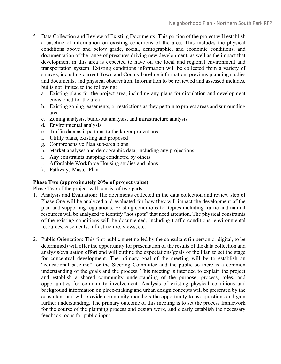- 5. Data Collection and Review of Existing Documents: This portion of the project will establish a baseline of information on existing conditions of the area. This includes the physical conditions above and below grade, social, demographic, and economic conditions, and documentation of the range of pressures driving new development, as well as the impact that development in this area is expected to have on the local and regional environment and transportation system. Existing conditions information will be collected from a variety of sources, including current Town and County baseline information, previous planning studies and documents, and physical observation. Information to be reviewed and assessed includes, but is not limited to the following:
	- a. Existing plans for the project area, including any plans for circulation and development envisioned for the area
	- b. Existing zoning, easements, or restrictions as they pertain to project areas and surrounding area
	- c. Zoning analysis, build‐out analysis, and infrastructure analysis
	- d. Environmental analysis
	- e. Traffic data as it pertains to the larger project area
	- f. Utility plans, existing and proposed
	- g. Comprehensive Plan sub-area plans
	- h. Market analyses and demographic data, including any projections
	- i. Any constraints mapping conducted by others
	- j. Affordable Workforce Housing studies and plans
	- k. Pathways Master Plan

# **Phase Two (approximately 20% of project value)**

Phase Two of the project will consist of two parts.

- 1. Analysis and Evaluation: The documents collected in the data collection and review step of Phase One will be analyzed and evaluated for how they will impact the development of the plan and supporting regulations. Existing conditions for topics including traffic and natural resources will be analyzed to identify "hot spots" that need attention. The physical constraints of the existing conditions will be documented, including traffic conditions, environmental resources, easements, infrastructure, views, etc.
- 2. Public Orientation: This first public meeting led by the consultant (in person or digital, to be determined) will offer the opportunity for presentation of the results of the data collection and analysis/evaluation effort and will outline the expectations/goals of the Plan to set the stage for conceptual development. The primary goal of the meeting will be to establish an "educational baseline" for the Steering Committee and the public so there is a common understanding of the goals and the process. This meeting is intended to explain the project and establish a shared community understanding of the purpose, process, roles, and opportunities for community involvement. Analysis of existing physical conditions and background information on place‐making and urban design concepts will be presented by the consultant and will provide community members the opportunity to ask questions and gain further understanding. The primary outcome of this meeting is to set the process framework for the course of the planning process and design work, and clearly establish the necessary feedback loops for public input.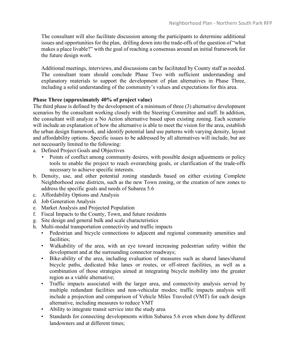The consultant will also facilitate discussion among the participants to determine additional issues and opportunities for the plan, drilling down into the trade‐offs of the question of "what makes a place livable?" with the goal of reaching a consensus around an initial framework for the future design work.

Additional meetings, interviews, and discussions can be facilitated by County staff as needed. The consultant team should conclude Phase Two with sufficient understanding and explanatory materials to support the development of plan alternatives in Phase Three, including a solid understanding of the community's values and expectations for this area.

# **Phase Three (approximately 40% of project value)**

The third phase is defined by the development of a minimum of three (3) alternative development scenarios by the consultant working closely with the Steering Committee and staff. In addition, the consultant will analyze a No Action alternative based upon existing zoning. Each scenario will include an explanation of how the alternative is able to meet the vision for the area, establish the urban design framework, and identify potential land use patterns with varying density, layout and affordability options. Specific issues to be addressed by all alternatives will include, but are not necessarily limited to the following:

- a. Defined Project Goals and Objectives
	- Points of conflict among community desires, with possible design adjustments or policy tools to enable the project to reach overarching goals, or clarification of the trade‐offs necessary to achieve specific interests.
- b. Density, use, and other potential zoning standards based on either existing Complete Neighborhood zone districts, such as the new Town zoning, or the creation of new zones to address the specific goals and needs of Subarea 5.6
- c. Affordability Options and Analysis
- d. Job Generation Analysis
- e. Market Analysis and Projected Population
- f. Fiscal Impacts to the County, Town, and future residents
- g. Site design and general bulk and scale characteristics
- h. Multi-modal transportation connectivity and traffic impacts
	- Pedestrian and bicycle connections to adjacent and regional community amenities and facilities;
		- Walkability of the area, with an eye toward increasing pedestrian safety within the development and at the surrounding connector roadways;
		- Bike-ability of the area, including evaluation of measures such as shared lanes/shared bicycle paths, dedicated bike lanes or routes, or off‐street facilities, as well as a combination of those strategies aimed at integrating bicycle mobility into the greater region as a viable alternative;
		- Traffic impacts associated with the larger area, and connectivity analysis served by multiple redundant facilities and non‐vehicular modes; traffic impacts analysis will include a projection and comparison of Vehicle Miles Traveled (VMT) for each design alternative, including measures to reduce VMT
		- Ability to integrate transit service into the study area
	- Standards for connecting developments within Subarea 5.6 even when done by different landowners and at different times;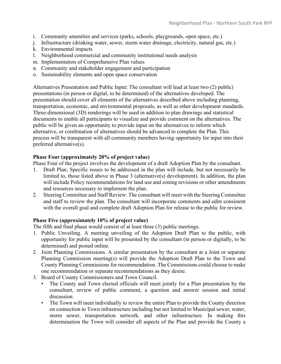- i. Community amenities and services (parks, schools, playgrounds, open space, etc.)
- j. Infrastructure (drinking water, sewer, storm water drainage, electricity, natural gas, etc.)
- k. Environmental impacts
- l. Neighborhood commercial and community institutional needs analysis
- m. Implementation of Comprehensive Plan values
- n. Community and stakeholder engagement and participation
- o. Sustainability elements and open space conservation

Alternatives Presentation and Public Input: The consultant will lead at least two (2) public) presentations (in person or digital, to be determined) of the alternatives developed. The presentation should cover all elements of the alternatives described above including planning, transportation, economic, and environmental proposals, as well as other development standards. Three-dimensional (3D) renderings will be used in addition to plan drawings and statistical documents to enable all participants to visualize and provide comment on the alternatives. The public will be given an opportunity to provide input on the alternatives to inform which alternative, or combination of alternatives should be advanced to complete the Plan. This process will be transparent with all community members having opportunity for input into their preferred alternative(s).

# **Phase Four (approximately 20% of project value)**

Phase Four of the project involves the development of a draft Adoption Plan by the consultant.

- 1. Draft Plan: Specific issues to be addressed in the plan will include, but not necessarily be limited to, those listed above in Phase 3 (alternative(s) development). In addition, the plan will include Policy recommendations for land use and zoning revisions or other amendments and resources necessary to implement the plan.
- 2. Steering Committee and Staff Review: The consultant will meet with the Steering Committee and staff to review the plan. The consultant will incorporate comments and edits consistent with the overall goal and complete draft Adoption Plan for release to the public for review.

#### **Phase Five (approximately 10% of project value)**

The fifth and final phase would consist of at least three (3) public meetings.

- 1. Public Unveiling. A meeting unveiling of the Adoption Draft Plan to the public, with opportunity for public input will be presented by the consultant (in person or digitally, to be determined) and posted online.
- 2. Joint Planning Commissions. A similar presentation by the consultant at a Joint or separate Planning Commission meeting(s) will provide the Adoption Draft Plan to the Town and County Planning Commissions for recommendation. The Commissions could choose to make one recommendation or separate recommendations as they desire.
- 3. Board of County Commissioners and Town Council.
	- The County and Town elected officials will meet jointly for a Plan presentation by the consultant, review of public comment, a question and answer session and initial discussion.
	- The Town will meet individually to review the entire Plan to provide the County direction on connection to Town infrastructure including but not limited to Municipal sewer, water, storm sewer, transportation network, and other infrastructure. In making this determination the Town will consider all aspects of the Plan and provide the County a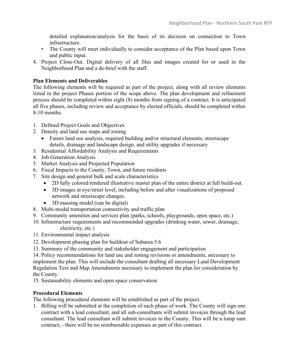detailed explanation/analysis for the basis of its decision on connection to Town infrastructure.

- The County will meet individually to consider acceptance of the Plan based upon Town and public input.
- 4. Project Close‐Out. Digital delivery of all files and images created for or used in the Neighborhood Plan and a de‐brief with the staff.

# **Plan Elements and Deliverables**

The following elements will be required as part of the project, along with all review elements listed in the project Phases portion of the scope above. The plan development and refinement process should be completed within eight (8) months from signing of a contract. It is anticipated all five phases, including review and acceptance by elected officials, should be completed within 8-10 months.

- 1. Defined Project Goals and Objectives
- 2. Density and land use maps and zoning
	- Future land use analysis, required building and/or structural elements, streetscape details, drainage and landscape design, and utility upgrades if necessary
- 3. Residential Affordability Analysis and Requirements
- 4. Job Generation Analysis
- 5. Market Analysis and Projected Population
- 6. Fiscal Impacts to the County, Town, and future residents
- 7. Site design and general bulk and scale characteristics
	- 2D fully colored/rendered illustrative master plan of the entire district at full build-out.
	- 3D images at eye/street level, including before and after visualizations of proposed network and streetscape changes.
	- 3D massing model (can be digital)
- 8. Multi-modal transportation connectivity and traffic plan
- 9. Community amenities and services plan (parks, schools, playgrounds, open space, etc.)
- 10. Infrastructure requirements and recommended upgrades (drinking water, sewer, drainage, electricity, etc.)
- 11. Environmental impact analysis
- 12. Development phasing plan for buildout of Subarea 5.6
- 13. Summary of the community and stakeholder engagement and participation

14. Policy recommendations for land use and zoning revisions or amendments, necessary to implement the plan. This will include the consultant drafting all necessary Land Development Regulation Text and Map Amendments necessary to implement the plan for consideration by the County.

15. Sustainability elements and open space conservation

# **Procedural Elements**

The following procedural elements will be established as part of the project.

1. Billing will be submitted at the completion of each phase of work. The County will sign one contract with a lead consultant, and all sub-consultants will submit invoices through the lead consultant. The lead consultant will submit invoices to the County. This will be a lump sum contract; ‐ there will be no reimbursable expenses as part of this contract.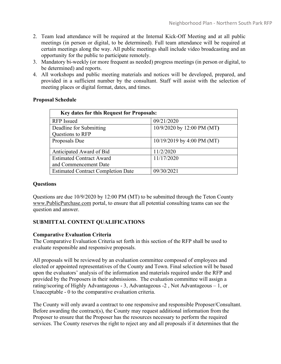- 2. Team lead attendance will be required at the Internal Kick‐Off Meeting and at all public meetings (in person or digital, to be determined). Full team attendance will be required at certain meetings along the way. All public meetings shall include video broadcasting and an opportunity for the public to participate remotely.
- 3. Mandatory bi-weekly (or more frequent as needed) progress meetings (in person or digital, to be determined) and reports.
- 4. All workshops and public meeting materials and notices will be developed, prepared, and provided in a sufficient number by the consultant. Staff will assist with the selection of meeting places or digital format, dates, and times.

# **Proposal Schedule**

| Key dates for this Request for Proposals: |                            |
|-------------------------------------------|----------------------------|
| <b>RFP</b> Issued                         | 09/21/2020                 |
| Deadline for Submitting                   | 10/9/2020 by 12:00 PM (MT) |
| Questions to RFP                          |                            |
| Proposals Due                             | 10/19/2019 by 4:00 PM (MT) |
| Anticipated Award of Bid                  | 11/2/2020                  |
| <b>Estimated Contract Award</b>           | 11/17/2020                 |
| and Commencement Date                     |                            |
| <b>Estimated Contract Completion Date</b> | 09/30/2021                 |

# **Questions**

Questions are due 10/9/2020 by 12:00 PM (MT) to be submitted through the Teton County www.PublicPurchase.com portal, to ensure that all potential consulting teams can see the question and answer.

# **SUBMITTAL CONTENT QUALIFICATIONS**

# **Comparative Evaluation Criteria**

The Comparative Evaluation Criteria set forth in this section of the RFP shall be used to evaluate responsible and responsive proposals.

All proposals will be reviewed by an evaluation committee composed of employees and elected or appointed representatives of the County and Town. Final selection will be based upon the evaluators' analysis of the information and materials required under the RFP and provided by the Proposers in their submissions. The evaluation committee will assign a rating/scoring of Highly Advantageous - 3, Advantageous -2 , Not Advantageous – 1, or Unacceptable - 0 to the comparative evaluation criteria.

The County will only award a contract to one responsive and responsible Proposer/Consultant. Before awarding the contract(s), the County may request additional information from the Proposer to ensure that the Proposer has the resources necessary to perform the required services. The County reserves the right to reject any and all proposals if it determines that the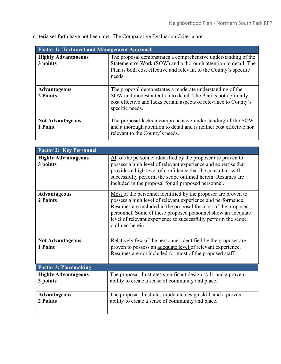criteria set forth have not been met. The Comparative Evaluation Criteria are:

| <b>Factor 1: Technical and Management Approach</b> |                                                                                                                                                                                                                    |
|----------------------------------------------------|--------------------------------------------------------------------------------------------------------------------------------------------------------------------------------------------------------------------|
| <b>Highly Advantageous</b><br>3 points             | The proposal demonstrates a comprehensive understanding of the<br>Statement of Work (SOW) and a thorough attention to detail. The<br>Plan is both cost effective and relevant to the County's specific<br>needs.   |
| <b>Advantageous</b><br>2 Points                    | The proposal demonstrates a moderate understanding of the<br>SOW and modest attention to detail. The Plan is not optimally<br>cost effective and lacks certain aspects of relevance to County's<br>specific needs. |
| <b>Not Advantageous</b><br>1 Point                 | The proposal lacks a comprehensive understanding of the SOW<br>and a thorough attention to detail and is neither cost effective nor<br>relevant to the County's needs.                                             |

| <b>Factor 2: Key Personnel</b>         |                                                                                                                                                                                                                                                                                                                                                       |
|----------------------------------------|-------------------------------------------------------------------------------------------------------------------------------------------------------------------------------------------------------------------------------------------------------------------------------------------------------------------------------------------------------|
| <b>Highly Advantageous</b><br>3 points | All of the personnel identified by the proposer are proven to<br>possess a high level of relevant experience and expertise that<br>provides a high level of confidence that the consultant will<br>successfully perform the scope outlined herein. Resumes are<br>included in the proposal for all proposed personnel.                                |
| <b>Advantageous</b><br>2 Points        | Most of the personnel identified by the proposer are proven to<br>possess a high level of relevant experience and performance.<br>Resumes are included in the proposal for most of the proposed<br>personnel. Some of these proposed personnel show an adequate<br>level of relevant experience to successfully perform the scope<br>outlined herein. |
| <b>Not Advantageous</b><br>1 Point     | Relatively few of the personnel identified by the proposer are<br>proven to possess an adequate level of relevant experience.<br>Resumes are not included for most of the proposed staff.                                                                                                                                                             |
| <b>Factor 3: Placemaking</b>           |                                                                                                                                                                                                                                                                                                                                                       |
| <b>Highly Advantageous</b><br>3 points | The proposal illustrates significant design skill, and a proven<br>ability to create a sense of community and place.                                                                                                                                                                                                                                  |
| <b>Advantageous</b><br>2 Points        | The proposal illustrates moderate design skill, and a proven<br>ability to create a sense of community and place.                                                                                                                                                                                                                                     |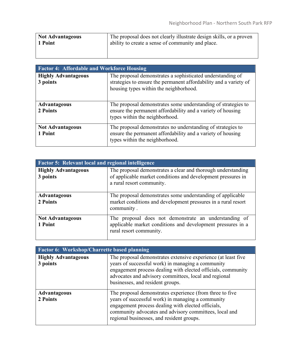| <b>Not Advantageous</b> | The proposal does not clearly illustrate design skills, or a proven |
|-------------------------|---------------------------------------------------------------------|
| 1 Point                 | ability to create a sense of community and place.                   |
|                         |                                                                     |
|                         |                                                                     |

| <b>Factor 4: Affordable and Workforce Housing</b> |                                                                                                                                                                           |
|---------------------------------------------------|---------------------------------------------------------------------------------------------------------------------------------------------------------------------------|
| <b>Highly Advantageous</b><br>3 points            | The proposal demonstrates a sophisticated understanding of<br>strategies to ensure the permanent affordability and a variety of<br>housing types within the neighborhood. |
| <b>Advantageous</b><br>2 Points                   | The proposal demonstrates some understanding of strategies to<br>ensure the permanent affordability and a variety of housing<br>types within the neighborhood.            |
| <b>Not Advantageous</b><br>1 Point                | The proposal demonstrates no understanding of strategies to<br>ensure the permanent affordability and a variety of housing<br>types within the neighborhood.              |

| <b>Factor 5: Relevant local and regional intelligence</b> |                                                                                                                                                           |
|-----------------------------------------------------------|-----------------------------------------------------------------------------------------------------------------------------------------------------------|
| <b>Highly Advantageous</b><br>3 points                    | The proposal demonstrates a clear and thorough understanding<br>of applicable market conditions and development pressures in<br>a rural resort community. |
| <b>Advantageous</b><br>2 Points                           | The proposal demonstrates some understanding of applicable<br>market conditions and development pressures in a rural resort<br>community.                 |
| <b>Not Advantageous</b><br>1 Point                        | The proposal does not demonstrate an understanding of<br>applicable market conditions and development pressures in a<br>rural resort community.           |

| <b>Factor 6: Workshop/Charrette based planning</b> |                                                                                                                                                                                                                                                                                 |
|----------------------------------------------------|---------------------------------------------------------------------------------------------------------------------------------------------------------------------------------------------------------------------------------------------------------------------------------|
| <b>Highly Advantageous</b><br>3 points             | The proposal demonstrates extensive experience (at least five<br>years of successful work) in managing a community<br>engagement process dealing with elected officials, community<br>advocates and advisory committees, local and regional<br>businesses, and resident groups. |
| <b>Advantageous</b><br>2 Points                    | The proposal demonstrates experience (from three to five<br>years of successful work) in managing a community<br>engagement process dealing with elected officials,<br>community advocates and advisory committees, local and<br>regional businesses, and resident groups.      |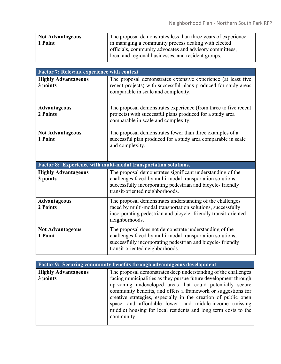| <b>Not Advantageous</b> | The proposal demonstrates less than three years of experience |
|-------------------------|---------------------------------------------------------------|
| 1 Point                 | in managing a community process dealing with elected          |
|                         | officials, community advocates and advisory committees,       |
|                         | local and regional businesses, and resident groups.           |

| <b>Factor 7: Relevant experience with context</b> |                                                                                                                                                                                                                          |
|---------------------------------------------------|--------------------------------------------------------------------------------------------------------------------------------------------------------------------------------------------------------------------------|
| <b>Highly Advantageous</b><br>3 points            | The proposal demonstrates extensive experience (at least five<br>recent projects) with successful plans produced for study areas<br>comparable in scale and complexity.                                                  |
| <b>Advantageous</b><br>2 Points                   | The proposal demonstrates experience (from three to five recent<br>projects) with successful plans produced for a study area<br>comparable in scale and complexity.                                                      |
| <b>Not Advantageous</b><br>1 Point                | The proposal demonstrates fewer than three examples of a<br>successful plan produced for a study area comparable in scale<br>and complexity.                                                                             |
|                                                   | Factor 8: Experience with multi-modal transportation solutions.                                                                                                                                                          |
| <b>Highly Advantageous</b><br>3 points            | The proposal demonstrates significant understanding of the<br>challenges faced by multi-modal transportation solutions,<br>successfully incorporating pedestrian and bicycle-friendly<br>transit-oriented neighborhoods. |
| <b>Advantageous</b><br>2 Points                   | The proposal demonstrates understanding of the challenges<br>faced by multi-modal transportation solutions, successfully<br>incorporating pedestrian and bicycle-friendly transit-oriented<br>neighborhoods.             |
| <b>Not Advantageous</b><br>1 Point                | The proposal does not demonstrate understanding of the<br>challenges faced by multi-modal transportation solutions,<br>successfully incorporating pedestrian and bicycle-friendly                                        |

| <b>Factor 9: Securing community benefits through advantageous development</b> |                                                                                                                                                                                                                                                                                                                                         |
|-------------------------------------------------------------------------------|-----------------------------------------------------------------------------------------------------------------------------------------------------------------------------------------------------------------------------------------------------------------------------------------------------------------------------------------|
| <b>Highly Advantageous</b>                                                    | The proposal demonstrates deep understanding of the challenges                                                                                                                                                                                                                                                                          |
| 3 points                                                                      | facing municipalities as they pursue future development through                                                                                                                                                                                                                                                                         |
|                                                                               | up-zoning undeveloped areas that could potentially secure<br>community benefits, and offers a framework or suggestions for<br>creative strategies, especially in the creation of public open<br>space, and affordable lower- and middle-income (missing<br>middle) housing for local residents and long term costs to the<br>community. |